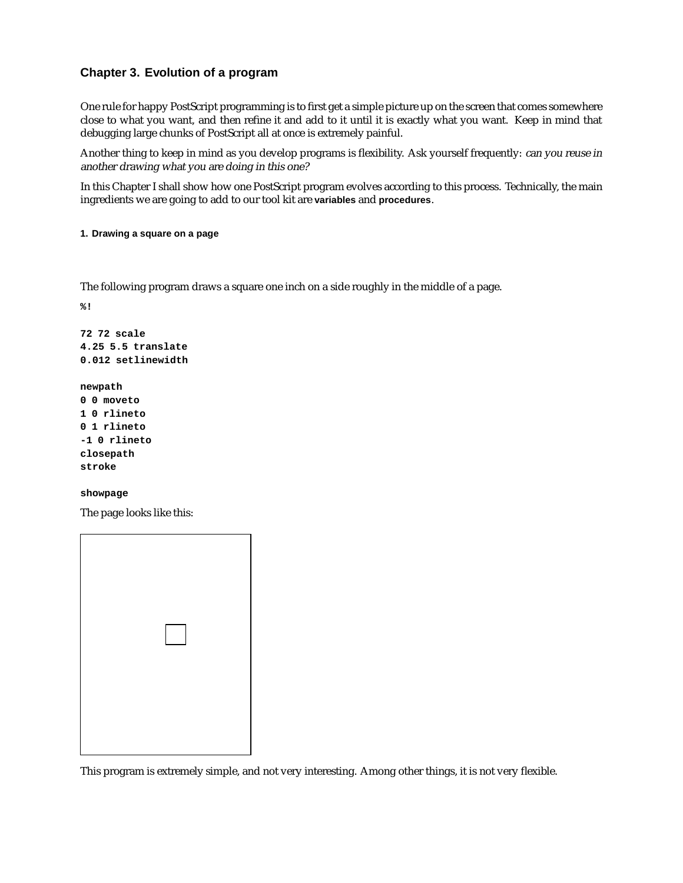# **Chapter 3. Evolution of a program**

One rule for happy PostScript programming is to first get a simple picture up on the screen that comes somewhere close to what you want, and then refine it and add to it until it is exactly what you want. Keep in mind that debugging large chunks of PostScript all at once is extremely painful.

Another thing to keep in mind as you develop programs is flexibility. Ask yourself frequently: can you reuse in another drawing what you are doing in this one?

In this Chapter I shall show how one PostScript program evolves according to this process. Technically, the main ingredients we are going to add to our tool kit are **variables** and **procedures**.

# **1. Drawing a square on a page**

The following program draws a square one inch on a side roughly in the middle of a page.

**%!**

```
72 72 scale
4.25 5.5 translate
0.012 setlinewidth
```

```
newpath
0 0 moveto
1 0 rlineto
0 1 rlineto
-1 0 rlineto
closepath
stroke
```
### **showpage**

The page looks like this:

This program is extremely simple, and not very interesting. Among other things, it is not very flexible.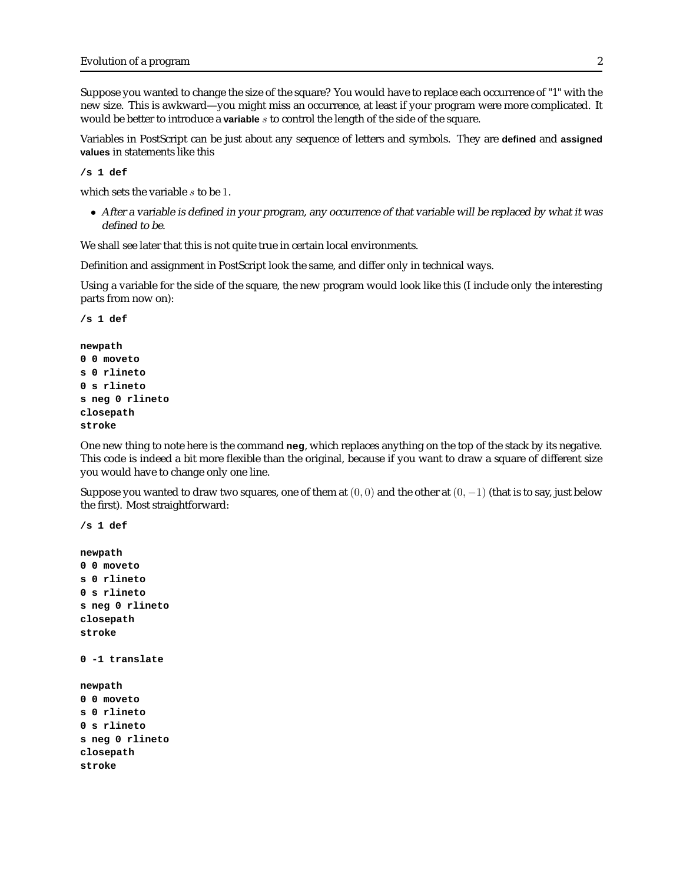Suppose you wanted to change the size of the square? You would have to replace each occurrence of "1" with the new size. This is awkward—you might miss an occurrence, at least if your program were more complicated. It would be better to introduce a **variable** s to control the length of the side of the square.

Variables in PostScript can be just about any sequence of letters and symbols. They are **defined** and **assigned values** in statements like this

**/s 1 def**

which sets the variable s to be 1.

• After <sup>a</sup> variable is defined in your program, any occurrence of that variable will be replaced by what it was defined to be.

We shall see later that this is not quite true in certain local environments.

Definition and assignment in PostScript look the same, and differ only in technical ways.

Using a variable for the side of the square, the new program would look like this (I include only the interesting parts from now on):

```
/s 1 def
newpath
0 0 moveto
s 0 rlineto
0 s rlineto
s neg 0 rlineto
closepath
stroke
```
One new thing to note here is the command **neg**, which replaces anything on the top of the stack by its negative. This code is indeed a bit more flexible than the original, because if you want to draw a square of different size you would have to change only one line.

Suppose you wanted to draw two squares, one of them at  $(0, 0)$  and the other at  $(0, -1)$  (that is to say, just below the first). Most straightforward:

```
/s 1 def
newpath
0 0 moveto
s 0 rlineto
0 s rlineto
s neg 0 rlineto
closepath
stroke
0 -1 translate
newpath
0 0 moveto
s 0 rlineto
0 s rlineto
s neg 0 rlineto
closepath
stroke
```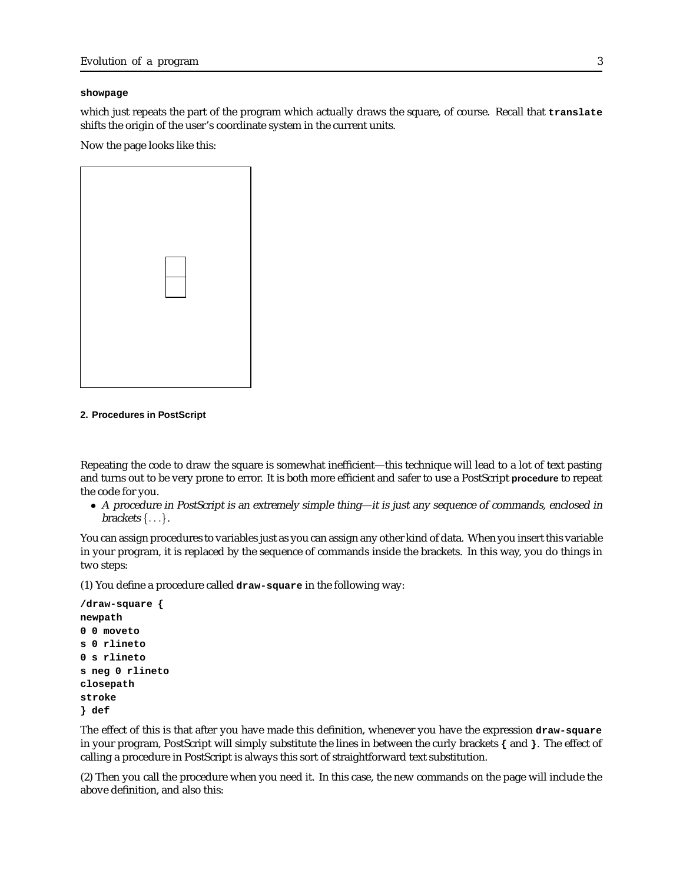### **showpage**

which just repeats the part of the program which actually draws the square, of course. Recall that **translate** shifts the origin of the user's coordinate system in the current units.

Now the page looks like this:

#### **2. Procedures in PostScript**

Repeating the code to draw the square is somewhat inefficient—this technique will lead to a lot of text pasting and turns out to be very prone to error. It is both more efficient and safer to use a PostScript **procedure** to repeat the code for you.

• <sup>A</sup> procedure in PostScript is an extremely simple thing—it is just any sequence of commands, enclosed in brackets  $\{\ldots\}$ .

You can assign procedures to variables just as you can assign any other kind of data. When you insert this variable in your program, it is replaced by the sequence of commands inside the brackets. In this way, you do things in two steps:

(1) You define a procedure called **draw-square** in the following way:

```
/draw-square {
newpath
0 0 moveto
s 0 rlineto
0 s rlineto
s neg 0 rlineto
closepath
stroke
} def
```
The effect of this is that after you have made this definition, whenever you have the expression **draw-square** in your program, PostScript will simply substitute the lines in between the curly brackets **{** and **}**. The effect of calling a procedure in PostScript is always this sort of straightforward text substitution.

(2) Then you call the procedure when you need it. In this case, the new commands on the page will include the above definition, and also this: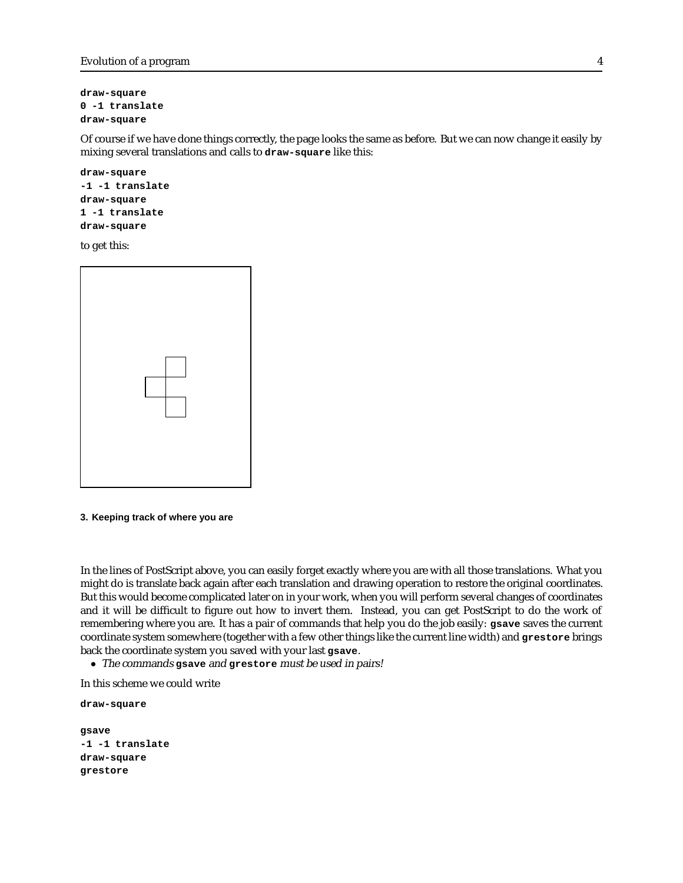```
Evolution of a program 4
```

```
draw-square
0 -1 translate
draw-square
```
Of course if we have done things correctly, the page looks the same as before. But we can now change it easily by mixing several translations and calls to **draw-square** like this:

```
draw-square
-1 -1 translate
draw-square
1 -1 translate
draw-square
```
to get this:



### **3. Keeping track of where you are**

In the lines of PostScript above, you can easily forget exactly where you are with all those translations. What you might do is translate back again after each translation and drawing operation to restore the original coordinates. But this would become complicated later on in your work, when you will perform several changes of coordinates and it will be difficult to figure out how to invert them. Instead, you can get PostScript to do the work of remembering where you are. It has a pair of commands that help you do the job easily: **gsave** saves the current coordinate system somewhere (together with a few other things like the current line width) and **grestore** brings back the coordinate system you saved with your last **gsave**.

• The commands **gsave** and **grestore** must be used in pairs!

In this scheme we could write

```
draw-square
gsave
-1 -1 translate
draw-square
grestore
```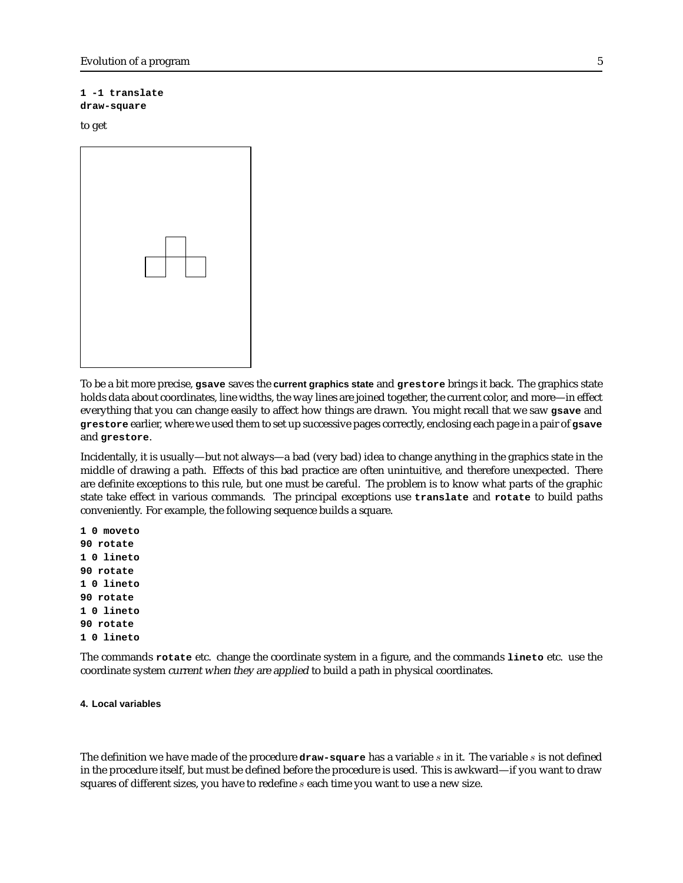# **1 -1 translate**

# **draw-square**

# to get

| $\perp$ |  |
|---------|--|
|         |  |

To be a bit more precise, **gsave** saves the **current graphics state** and **grestore** brings it back. The graphics state holds data about coordinates, line widths, the way lines are joined together, the current color, and more—in effect everything that you can change easily to affect how things are drawn. You might recall that we saw **gsave** and **grestore** earlier, where we used them to set up successive pages correctly, enclosing each page in a pair of **gsave** and **grestore**.

Incidentally, it is usually—but not always—a bad (very bad) idea to change anything in the graphics state in the middle of drawing a path. Effects of this bad practice are often unintuitive, and therefore unexpected. There are definite exceptions to this rule, but one must be careful. The problem is to know what parts of the graphic state take effect in various commands. The principal exceptions use **translate** and **rotate** to build paths conveniently. For example, the following sequence builds a square.

The commands **rotate** etc. change the coordinate system in a figure, and the commands **lineto** etc. use the coordinate system current when they are applied to build a path in physical coordinates.

### **4. Local variables**

The definition we have made of the procedure **draw-square** has a variable s in it. The variable s is not defined in the procedure itself, but must be defined before the procedure is used. This is awkward—if you want to draw squares of different sizes, you have to redefine s each time you want to use a new size.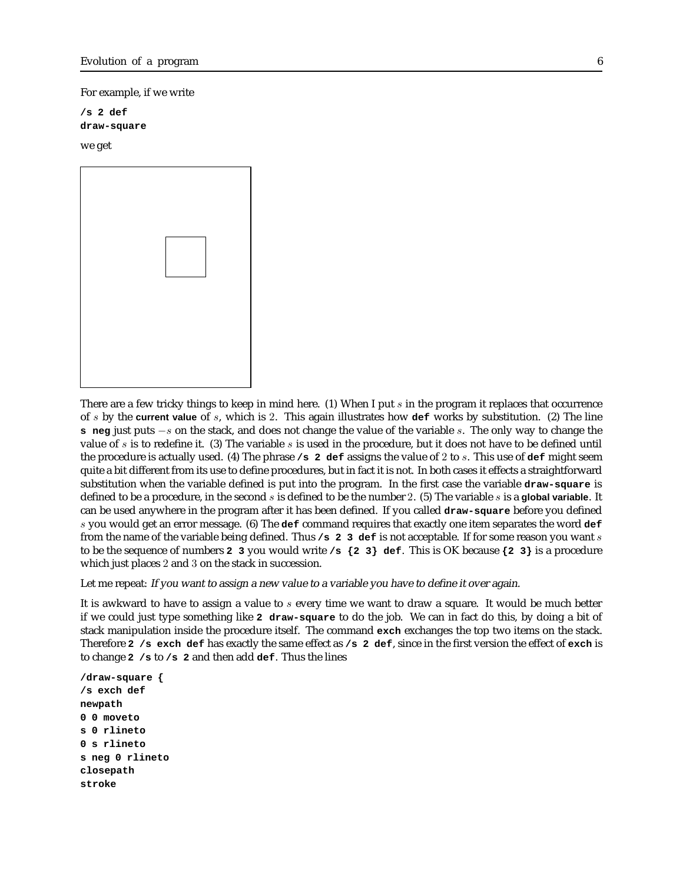For example, if we write

**/s 2 def draw-square**

we get



There are a few tricky things to keep in mind here. (1) When I put s in the program it replaces that occurrence of s by the **current value** of s, which is 2. This again illustrates how **def** works by substitution. (2) The line **s neg** just puts −s on the stack, and does not change the value of the variable s. The only way to change the value of s is to redefine it. (3) The variable s is used in the procedure, but it does not have to be defined until the procedure is actually used. (4) The phrase **/s 2 def** assigns the value of 2 to s. This use of **def** might seem quite a bit different from its use to define procedures, but in fact it is not. In both cases it effects a straightforward substitution when the variable defined is put into the program. In the first case the variable **draw-square** is defined to be a procedure, in the second s is defined to be the number 2. (5) The variable s is a **global variable**. It can be used anywhere in the program after it has been defined. If you called **draw-square** before you defined s you would get an error message. (6) The **def** command requires that exactly one item separates the word **def** from the name of the variable being defined. Thus **/s 2 3 def** is not acceptable. If for some reason you want s to be the sequence of numbers **2 3** you would write **/s {2 3} def**. This is OK because **{2 3}** is a procedure which just places 2 and 3 on the stack in succession.

Let me repeat: If you want to assign <sup>a</sup> new value to <sup>a</sup> variable you have to define it over again.

It is awkward to have to assign a value to s every time we want to draw a square. It would be much better if we could just type something like **2 draw-square** to do the job. We can in fact do this, by doing a bit of stack manipulation inside the procedure itself. The command **exch** exchanges the top two items on the stack. Therefore **2 /s exch def** has exactly the same effect as **/s 2 def**, since in the first version the effect of **exch** is to change **2 /s** to **/s 2** and then add **def**. Thus the lines

**/draw-square { /s exch def newpath 0 0 moveto s 0 rlineto 0 s rlineto s neg 0 rlineto closepath stroke**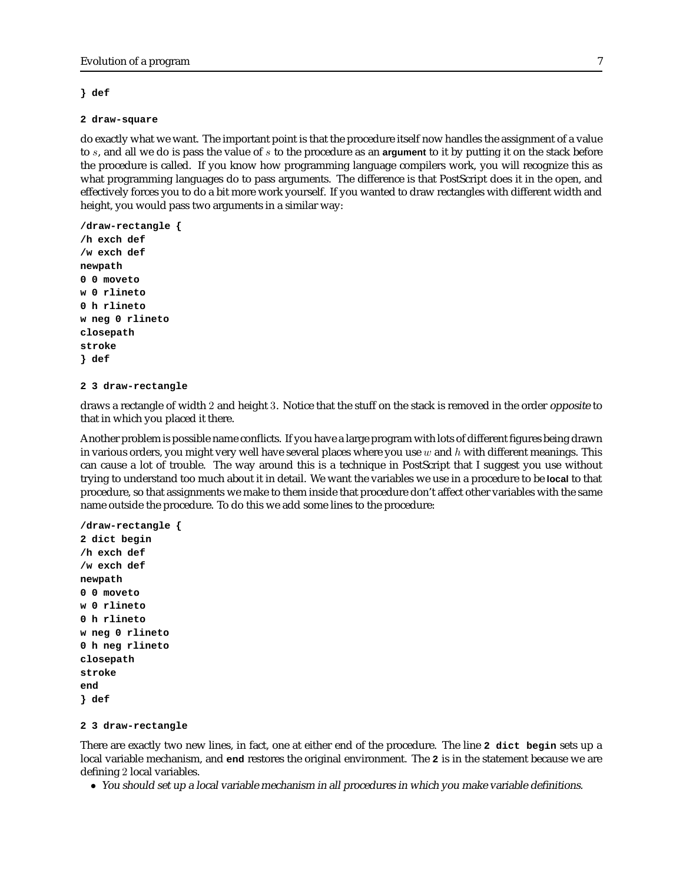## **} def**

#### **2 draw-square**

do exactly what we want. The important point is that the procedure itself now handles the assignment of a value to s, and all we do is pass the value of s to the procedure as an **argument** to it by putting it on the stack before the procedure is called. If you know how programming language compilers work, you will recognize this as what programming languages do to pass arguments. The difference is that PostScript does it in the open, and effectively forces you to do a bit more work yourself. If you wanted to draw rectangles with different width and height, you would pass two arguments in a similar way:

```
/draw-rectangle {
/h exch def
/w exch def
newpath
0 0 moveto
w 0 rlineto
0 h rlineto
w neg 0 rlineto
closepath
stroke
} def
```
# **2 3 draw-rectangle**

draws a rectangle of width 2 and height 3. Notice that the stuff on the stack is removed in the order opposite to that in which you placed it there.

Another problem is possible name conflicts. If you have a large program with lots of different figures being drawn in various orders, you might very well have several places where you use  $w$  and  $h$  with different meanings. This can cause a lot of trouble. The way around this is a technique in PostScript that I suggest you use without trying to understand too much about it in detail. We want the variables we use in a procedure to be **local** to that procedure, so that assignments we make to them inside that procedure don't affect other variables with the same name outside the procedure. To do this we add some lines to the procedure:

```
/draw-rectangle {
2 dict begin
/h exch def
/w exch def
newpath
0 0 moveto
w 0 rlineto
0 h rlineto
w neg 0 rlineto
0 h neg rlineto
closepath
stroke
end
} def
```
#### **2 3 draw-rectangle**

There are exactly two new lines, in fact, one at either end of the procedure. The line **2 dict begin** sets up a local variable mechanism, and **end** restores the original environment. The **2** is in the statement because we are defining 2 local variables.

• You should set up <sup>a</sup> local variable mechanism in all procedures in which you make variable definitions.